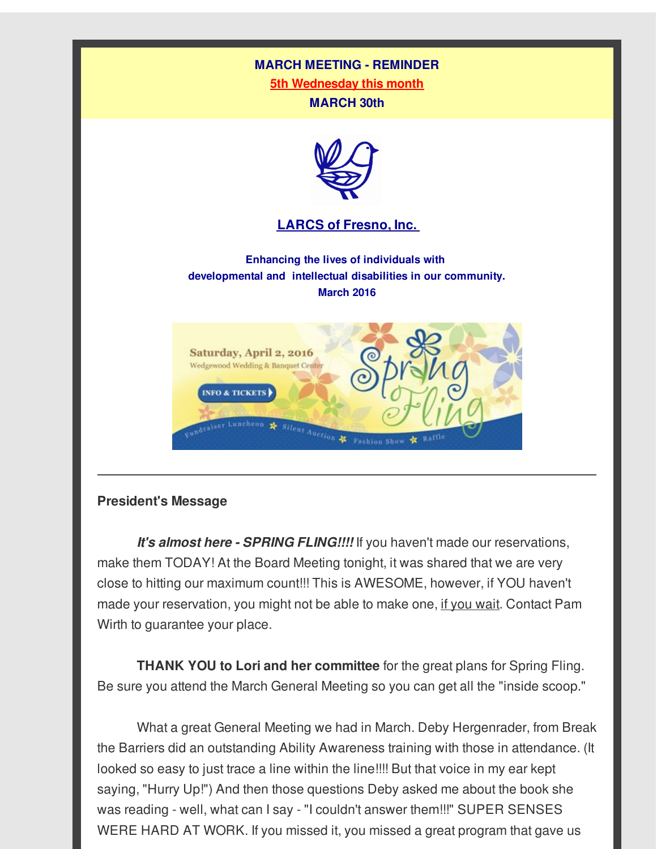#### **MARCH MEETING - REMINDER**

**5th Wednesday this month MARCH 30th**



#### **LARCS of [Fresno,](http://r20.rs6.net/tn.jsp?f=001y1ltD-1ldJDzDiVwNHG-Es5HooYJqU2RTJRjSvwn_LiyjeQXwVNZuLMiC267eIZ7GQAdJ7ah9ko2DeElQihJ_8L7R-PSII3JEGlc04OwULL7dydCEPSYp51G6f6VktLeAUhyMPDb58LqHb9zHmhqyl1iqNxjqWZqm-HE0wfbL3k=&c=&ch=) Inc.**

**Enhancing the lives of individuals with developmental and intellectual disabilities in our community. March 2016**



#### **President's Message**

*It's almost here - SPRING FLING!!!!* If you haven't made our reservations, make them TODAY! At the Board Meeting tonight, it was shared that we are very close to hitting our maximum count!!! This is AWESOME, however, if YOU haven't made your reservation, you might not be able to make one, if you wait. Contact Pam Wirth to guarantee your place.

**THANK YOU to Lori and her committee** for the great plans for Spring Fling. Be sure you attend the March General Meeting so you can get all the "inside scoop."

What a great General Meeting we had in March. Deby Hergenrader, from Break the Barriers did an outstanding Ability Awareness training with those in attendance. (It looked so easy to just trace a line within the line!!!! But that voice in my ear kept saying, "Hurry Up!") And then those questions Deby asked me about the book she was reading - well, what can I say - "I couldn't answer them!!!" SUPER SENSES WERE HARD AT WORK. If you missed it, you missed a great program that gave us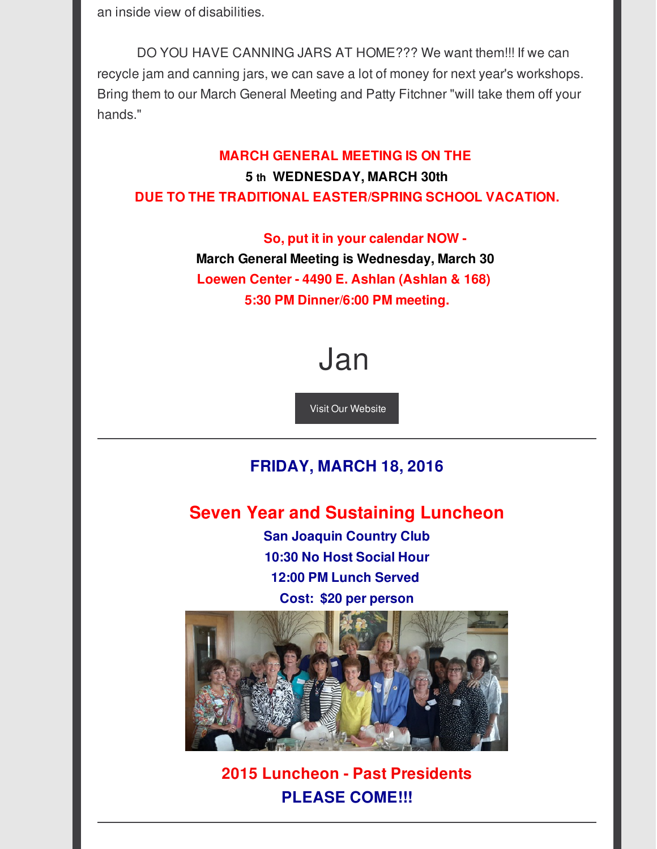an inside view of disabilities.

DO YOU HAVE CANNING JARS AT HOME??? We want them!!! If we can recycle jam and canning jars, we can save a lot of money for next year's workshops. Bring them to our March General Meeting and Patty Fitchner "will take them off your hands."

## **MARCH GENERAL MEETING IS ON THE 5 th WEDNESDAY, MARCH 30th DUE TO THE TRADITIONAL EASTER/SPRING SCHOOL VACATION.**

**So, put it in your calendar NOW - March General Meeting is Wednesday, March 30 Loewen Center - 4490 E. Ashlan (Ashlan & 168) 5:30 PM Dinner/6:00 PM meeting.**

# Jan

Visit Our [Website](http://r20.rs6.net/tn.jsp?f=001y1ltD-1ldJDzDiVwNHG-Es5HooYJqU2RTJRjSvwn_LiyjeQXwVNZuLMiC267eIZ7GQAdJ7ah9ko2DeElQihJ_8L7R-PSII3JEGlc04OwULL7dydCEPSYp51G6f6VktLeAUhyMPDb58LqHb9zHmhqyl1iqNxjqWZqm-HE0wfbL3k=&c=&ch=)

## **FRIDAY, MARCH 18, 2016**

## **Seven Year and Sustaining Luncheon**

**San Joaquin Country Club 10:30 No Host Social Hour 12:00 PM Lunch Served Cost: \$20 per person**



**2015 Luncheon - Past Presidents PLEASE COME!!!**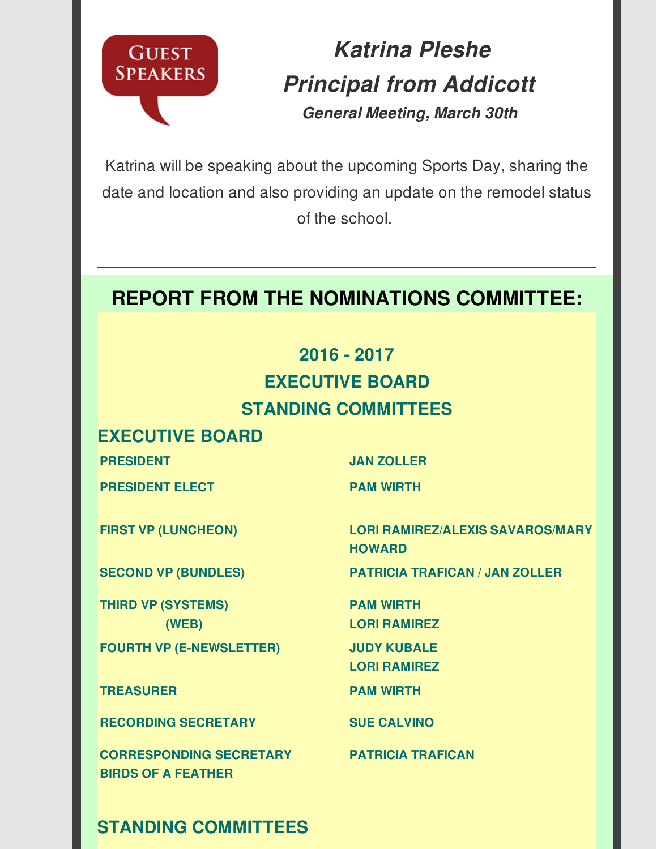

*Katrina Pleshe Principal from Addicott General Meeting, March 30th*

Katrina will be speaking about the upcoming Sports Day, sharing the date and location and also providing an update on the remodel status of the school.

# **REPORT FROM THE NOMINATIONS COMMITTEE:**

## **2016 - 2017 EXECUTIVE BOARD STANDING COMMITTEES**

## **EXECUTIVE BOARD**

**PRESIDENT JAN ZOLLER**

**PRESIDENT ELECT PAM WIRTH**

**THIRD VP (SYSTEMS) (WEB) FOURTH VP (E-NEWSLETTER) JUDY KUBALE**

**TREASURER PAM WIRTH**

**RECORDING SECRETARY SUE CALVINO**

**CORRESPONDING SECRETARY BIRDS OF A FEATHER**

**STANDING COMMITTEES**

**FIRST VP (LUNCHEON) LORI RAMIREZ/ALEXIS SAVAROS/MARY HOWARD**

**SECOND VP (BUNDLES) PATRICIA TRAFICAN / JAN ZOLLER**

**PAM WIRTH LORI RAMIREZ**

**LORI RAMIREZ**

**PATRICIA TRAFICAN**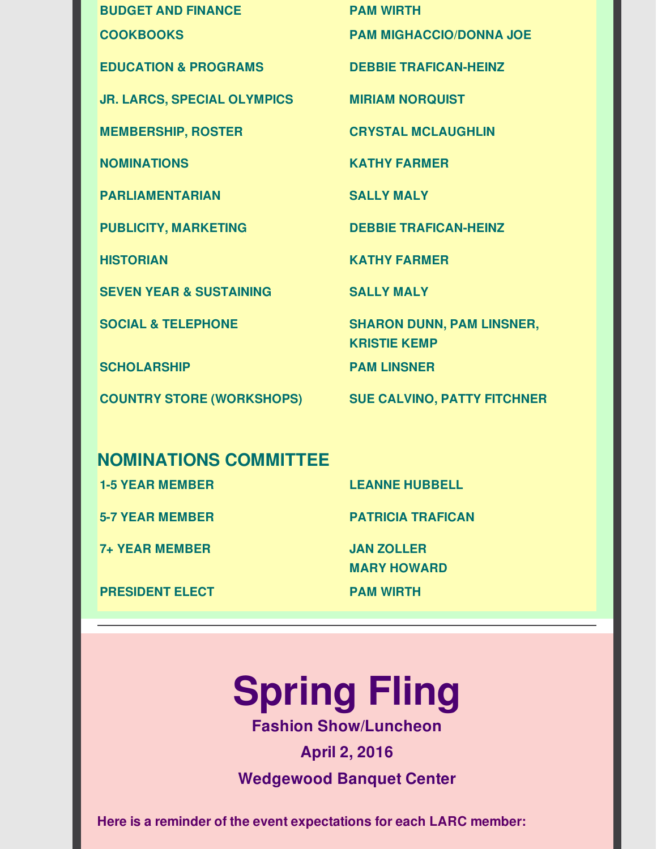**BUDGET AND FINANCE PAM WIRTH COOKBOOKS PAM MIGHACCIO/DONNA JOE EDUCATION & PROGRAMS DEBBIE TRAFICAN-HEINZ JR. LARCS, SPECIAL OLYMPICS MIRIAM NORQUIST MEMBERSHIP, ROSTER CRYSTAL MCLAUGHLIN NOMINATIONS KATHY FARMER PARLIAMENTARIAN SALLY MALY PUBLICITY, MARKETING DEBBIE TRAFICAN-HEINZ HISTORIAN KATHY FARMER SEVEN YEAR & SUSTAINING SALLY MALY SOCIAL & TELEPHONE SHARON DUNN, PAM LINSNER, KRISTIE KEMP SCHOLARSHIP PAM LINSNER COUNTRY STORE (WORKSHOPS) SUE CALVINO, PATTY FITCHNER**

## **NOMINATIONS COMMITTEE**

**1-5 YEAR MEMBER LEANNE HUBBELL 5-7 YEAR MEMBER PATRICIA TRAFICAN 7+ YEAR MEMBER JAN ZOLLER**

**MARY HOWARD**

**PRESIDENT ELECT PAM WIRTH**

# **Spring Fling**

**Fashion Show/Luncheon**

**April 2, 2016 Wedgewood Banquet Center**

**Here is a reminder of the event expectations for each LARC member:**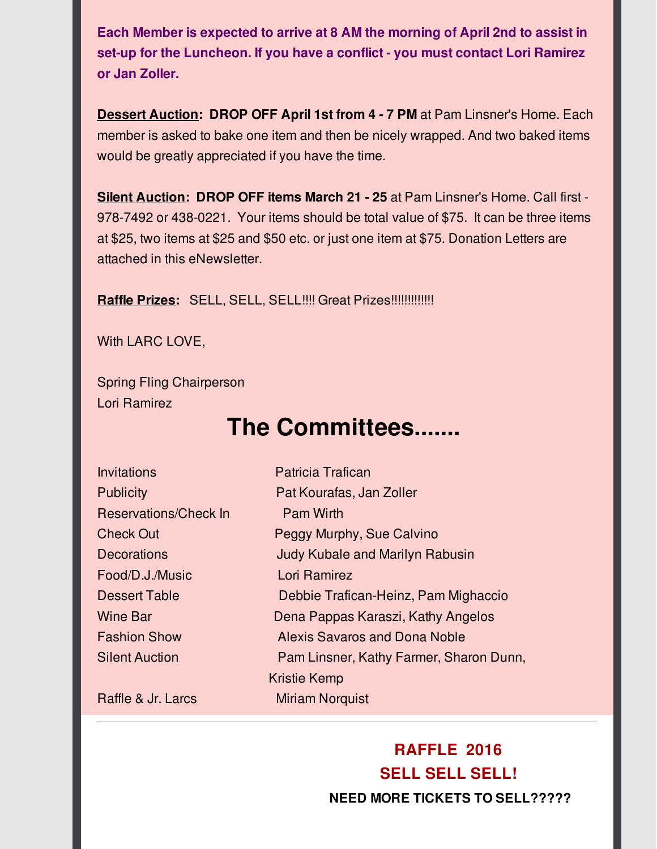**Each Member is expected to arrive at 8 AM the morning of April 2nd to assist in set-up for the Luncheon. If you have a conflict - you must contact Lori Ramirez or Jan Zoller.**

**Dessert Auction: DROP OFF April 1st from 4 - 7 PM** at Pam Linsner's Home. Each member is asked to bake one item and then be nicely wrapped. And two baked items would be greatly appreciated if you have the time.

**Silent Auction: DROP OFF items March 21 - 25** at Pam Linsner's Home. Call first - 978-7492 or 438-0221. Your items should be total value of \$75. It can be three items at \$25, two items at \$25 and \$50 etc. or just one item at \$75. Donation Letters are attached in this eNewsletter.

**Raffle Prizes:** SELL, SELL, SELL!!!! Great Prizes!!!!!!!!!!!!!

With LARC LOVE,

Spring Fling Chairperson Lori Ramirez

# **The Committees.......**

| <b>Invitations</b>    | <b>Patricia Trafican</b>                |  |  |
|-----------------------|-----------------------------------------|--|--|
| <b>Publicity</b>      | Pat Kourafas, Jan Zoller                |  |  |
| Reservations/Check In | <b>Pam Wirth</b>                        |  |  |
| <b>Check Out</b>      | Peggy Murphy, Sue Calvino               |  |  |
| <b>Decorations</b>    | <b>Judy Kubale and Marilyn Rabusin</b>  |  |  |
| Food/D.J./Music       | Lori Ramirez                            |  |  |
| Dessert Table         | Debbie Trafican-Heinz, Pam Mighaccio    |  |  |
| <b>Wine Bar</b>       | Dena Pappas Karaszi, Kathy Angelos      |  |  |
| <b>Fashion Show</b>   | Alexis Savaros and Dona Noble           |  |  |
| <b>Silent Auction</b> | Pam Linsner, Kathy Farmer, Sharon Dunn, |  |  |
|                       | Kristie Kemp                            |  |  |
| Raffle & Jr. Larcs    | <b>Miriam Norguist</b>                  |  |  |

## **RAFFLE 2016 SELL SELL SELL! NEED MORE TICKETS TO SELL?????**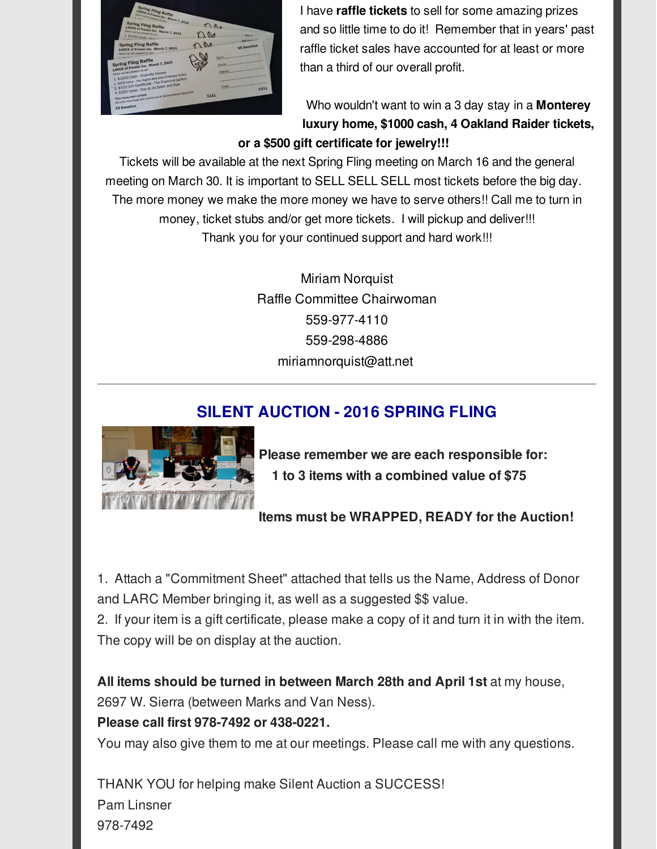

I have **raffle tickets** to sell for some amazing prizes and so little time to do it! Remember that in years' past raffle ticket sales have accounted for at least or more than a third of our overall profit.

Who wouldn't want to win a 3 day stay in a **Monterey luxury home, \$1000 cash, 4 Oakland Raider tickets, or a \$500 gift certificate for jewelry!!!**

Tickets will be available at the next Spring Fling meeting on March 16 and the general meeting on March 30. It is important to SELL SELL SELL most tickets before the big day. The more money we make the more money we have to serve others!! Call me to turn in money, ticket stubs and/or get more tickets. I will pickup and deliver!!! Thank you for your continued support and hard work!!!

> Miriam Norquist Raffle Committee Chairwoman 559-977-4110 559-298-4886 miriamnorquist@att.net

## **SILENT AUCTION - 2016 SPRING FLING**



**Please remember we are each responsible for: 1 to 3 items with a combined value of \$75**

**Items must be WRAPPED, READY for the Auction!**

1. Attach a "Commitment Sheet" attached that tells us the Name, Address of Donor and LARC Member bringing it, as well as a suggested \$\$ value.

2. If your item is a gift certificate, please make a copy of it and turn it in with the item. The copy will be on display at the auction.

**All items should be turned in between March 28th and April 1st** at my house, 2697 W. Sierra (between Marks and Van Ness).

#### **Please call first 978-7492 or 438-0221.**

You may also give them to me at our meetings. Please call me with any questions.

THANK YOU for helping make Silent Auction a SUCCESS! Pam Linsner 978-7492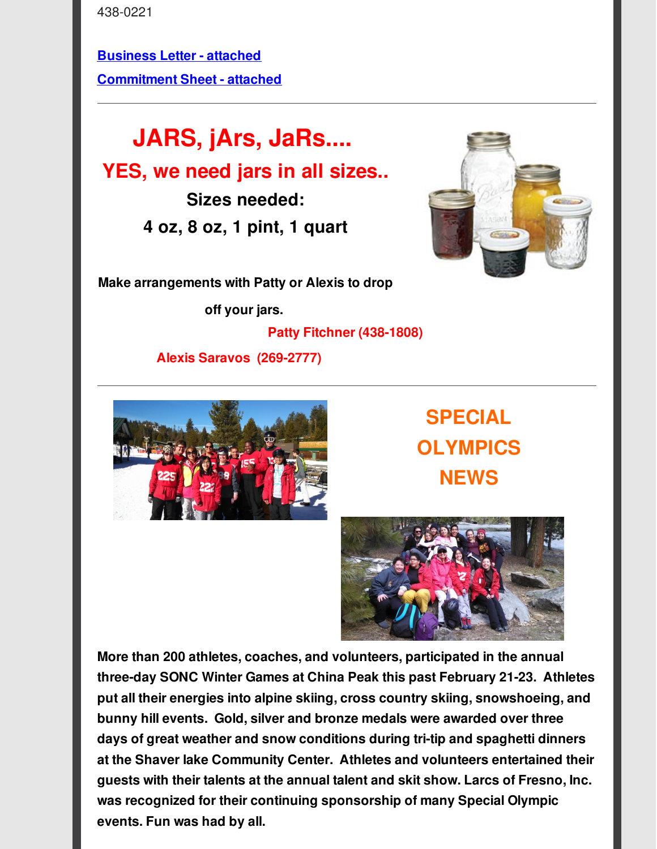438-0221

**[Business](http://r20.rs6.net/tn.jsp?f=001y1ltD-1ldJDzDiVwNHG-Es5HooYJqU2RTJRjSvwn_LiyjeQXwVNZuNXYuAEup46jz2Za35Cpd5JKYCAyBKNdKIQRZ2dwo4QInOHXN8s4amMGvi-NAX5afPb4sXPQTDZZuY35nwneY_RIobFt-0cBZohaiZ666E3iDAJIorY_yalDBUMRLAlZx1gfUpAeqbBVSxrpQHiLi2vlPvHA6XtGOZH2p6xsqhjNkYHAOv2keaVTPnT-K96Gqg==&c=&ch=) Letter - attached [Commitment](http://r20.rs6.net/tn.jsp?f=001y1ltD-1ldJDzDiVwNHG-Es5HooYJqU2RTJRjSvwn_LiyjeQXwVNZuNXYuAEup46juGYxjE-kfD8xjVVtp4-3JigP4R85JRh3FFf31Hh5ivqMN_kFiOc9LVQcsUr4SYHpzvoPkY92htRz5AARjVd7EjrRD13fADECxPSZVbQ4jcc30Y_FWI7fEkxS-Dioqoxy_4ifol8ooB8aomtbn4IjMvm8chSSgWXZ4h4SRb3mn0KRgsJLSynZTg==&c=&ch=) Sheet - attached**

**JARS, jArs, JaRs.... YES, we need jars in all sizes.. Sizes needed: 4 oz, 8 oz, 1 pint, 1 quart**



**Make arrangements with Patty or Alexis to drop**

**off your jars.**

**Patty Fitchner (438-1808)**

**Alexis Saravos (269-2777)**



**SPECIAL OLYMPICS NEWS**



**More than 200 athletes, coaches, and volunteers, participated in the annual three-day SONC Winter Games at China Peak this past February 21-23. Athletes put all their energies into alpine skiing, cross country skiing, snowshoeing, and bunny hill events. Gold, silver and bronze medals were awarded over three days of great weather and snow conditions during tri-tip and spaghetti dinners at the Shaver lake Community Center. Athletes and volunteers entertained their guests with their talents at the annual talent and skit show. Larcs of Fresno, Inc. was recognized for their continuing sponsorship of many Special Olympic events. Fun was had by all.**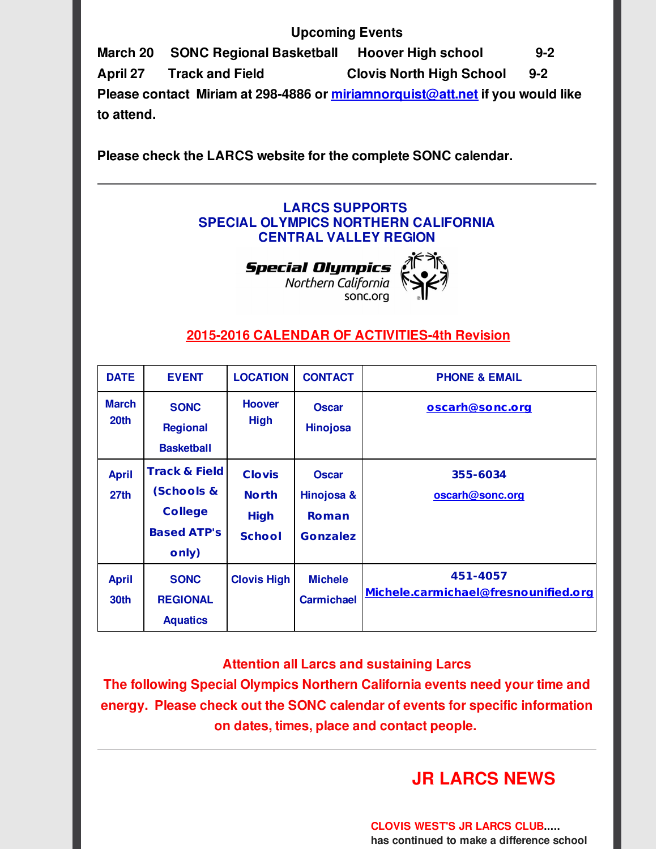#### **Upcoming Events**

**March 20 SONC Regional Basketball Hoover High school 9-2 April 27 Track and Field Clovis North High School 9-2 Please contact Miriam at 298-4886 or [miriamnorquist@att.net](mailto:miriamnorquist@att.net) if you would like to attend.**

**Please check the LARCS website for the complete SONC calendar.**

#### **LARCS SUPPORTS SPECIAL OLYMPICS NORTHERN CALIFORNIA CENTRAL VALLEY REGION**

**Special Olympics** Northern California sonc.org



#### **2015-2016 CALENDAR OF [ACTIVITIES-4th](http://r20.rs6.net/tn.jsp?f=001y1ltD-1ldJDzDiVwNHG-Es5HooYJqU2RTJRjSvwn_LiyjeQXwVNZuK3AUiZKNnsPG_X4Ad_sUZAAXCLU7lqA87hUs4WtHh_OqZSI1PDAVjiQsnjMMKUzxjco0mF4cWn-fChzIlbD1ZYmboJ6yJ3BfVZL4vx7SBl-mToV2u-fDfSP-AdaA_pq59tpSzs8BPXcK9Wuy68O-aDRZ5Eyathva24xvE4_9-4i7UegRP-Xv2jTpnew_aG72w==&c=&ch=) Revision**

| <b>DATE</b>                      | <b>EVENT</b>                                                                            | <b>LOCATION</b>                                               | <b>CONTACT</b>                                                | <b>PHONE &amp; EMAIL</b>                         |
|----------------------------------|-----------------------------------------------------------------------------------------|---------------------------------------------------------------|---------------------------------------------------------------|--------------------------------------------------|
| <b>March</b><br>20th             | <b>SONC</b><br><b>Regional</b><br><b>Basketball</b>                                     | <b>Hoover</b><br><b>High</b>                                  | <b>Oscar</b><br><b>Hinojosa</b>                               | oscarh@sonc.org                                  |
| <b>April</b><br>27 <sub>th</sub> | <b>Track &amp; Field</b><br>(Schools &<br><b>College</b><br><b>Based ATP's</b><br>only) | <b>Clovis</b><br><b>North</b><br><b>High</b><br><b>School</b> | <b>Oscar</b><br>Hinojosa &<br><b>Roman</b><br><b>Gonzalez</b> | 355-6034<br>oscarh@sonc.org                      |
| <b>April</b><br>30th             | <b>SONC</b><br><b>REGIONAL</b><br><b>Aquatics</b>                                       | <b>Clovis High</b>                                            | <b>Michele</b><br><b>Carmichael</b>                           | 451-4057<br>Michele.carmichael@fresnounified.org |

**Attention all Larcs and sustaining Larcs**

**The following Special Olympics Northern California events need your time and energy. Please check out the SONC calendar of events for specific information on dates, times, place and contact people.**

## **JR LARCS NEWS**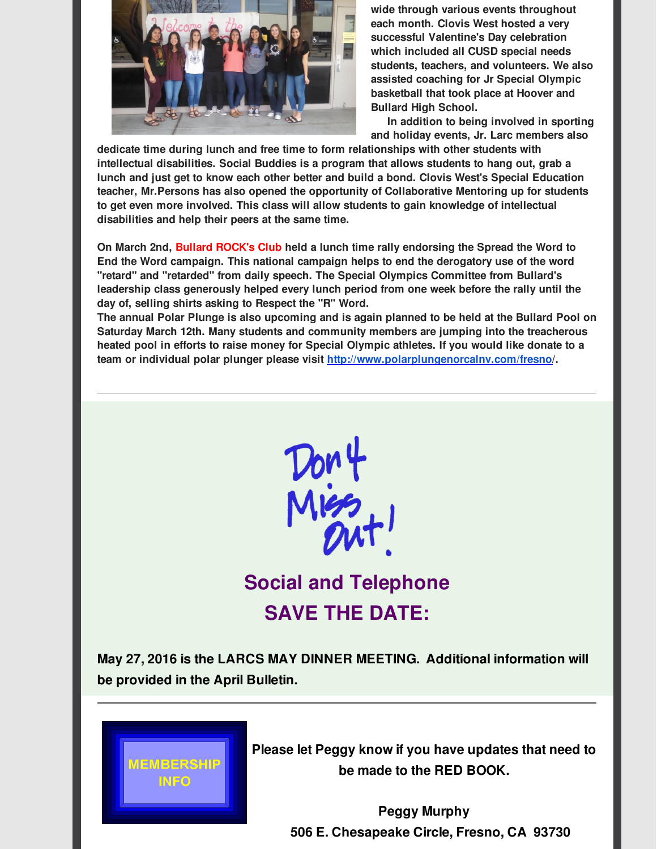

**wide through various events throughout each month. Clovis West hosted a very successful Valentine's Day celebration which included all CUSD special needs students, teachers, and volunteers. We also assisted coaching for Jr Special Olympic basketball that took place at Hoover and Bullard High School.**

**In addition to being involved in sporting and holiday events, Jr. Larc members also**

**dedicate time during lunch and free time to form relationships with other students with intellectual disabilities. Social Buddies is a program that allows students to hang out, grab a lunch and just get to know each other better and build a bond. Clovis West's Special Education teacher, Mr.Persons has also opened the opportunity of Collaborative Mentoring up for students to get even more involved. This class will allow students to gain knowledge of intellectual disabilities and help their peers at the same time.**

**On March 2nd, Bullard ROCK's Club held a lunch time rally endorsing the Spread the Word to End the Word campaign. This national campaign helps to end the derogatory use of the word "retard" and "retarded" from daily speech. The Special Olympics Committee from Bullard's leadership class generously helped every lunch period from one week before the rally until the day of, selling shirts asking to Respect the "R" Word.**

The annual Polar Plunge is also upcoming and is again planned to be held at the Bullard Pool on **Saturday March 12th. Many students and community members are jumping into the treacherous heated pool in efforts to raise money for Special Olympic athletes. If you would like donate to a team or individual polar plunger please visit [http://www.polarplungenorcalnv.com/fresno](http://r20.rs6.net/tn.jsp?f=001y1ltD-1ldJDzDiVwNHG-Es5HooYJqU2RTJRjSvwn_LiyjeQXwVNZuBx1dF6fbqFUmDkt-rj6riFQnhJTzq5zN16zWm6SkniqiuFV0c4VwTbTkAWGnPiFdBeGJhP0WZuceJMH5nOgr5_RqIQrd6pwG-L4zbc71kB8mNoFoFt6UtG2S6mA5B2PJfnfT1hN_0_Q7MqiomZzafI=&c=&ch=)/.**



# **Social and Telephone SAVE THE DATE:**

**May 27, 2016 is the LARCS MAY DINNER MEETING. Additional information will be provided in the April Bulletin.**



**Please let Peggy know if you have updates that need to be made to the RED BOOK.**

> **Peggy Murphy 506 E. Chesapeake Circle, Fresno, CA 93730**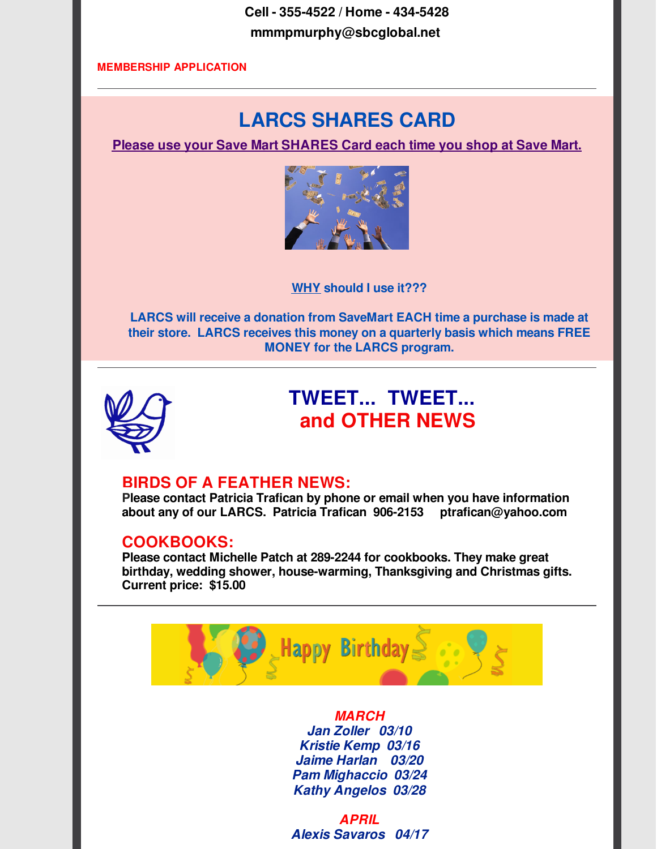**Cell - 355-4522 / Home - 434-5428 mmmpmurphy@sbcglobal.net**

#### **[MEMBERSHIP](http://r20.rs6.net/tn.jsp?f=001y1ltD-1ldJDzDiVwNHG-Es5HooYJqU2RTJRjSvwn_LiyjeQXwVNZuGeHwojvU5NOYZTrQ6f_EmbpVjA9cG7DorWHPJVF6LoZ2PsJEUmtmmcMlIzRcWCjw09sO6GeDR1qx9nBcl1X0qVmH0szeiRB1_J-_VGcP14BfAzEKHNP-X58m5DGD05zKmf1yULFh_3l5aA_wnBBhCZFNvMSNmdrNKnTUEzcTWm5AHjPIfdZtgVzpNsWojTIKA==&c=&ch=) APPLICATION**

## **LARCS SHARES CARD**

**Please use your Save Mart SHARES Card each time you shop at Save Mart.**



**WHY should I use it???**

**LARCS will receive a donation from SaveMart EACH time a purchase is made at their store. LARCS receives this money on a quarterly basis which means FREE MONEY for the LARCS program.**



## **TWEET... TWEET... and OTHER NEWS**

#### **BIRDS OF A FEATHER NEWS:**

**Please contact Patricia Trafican by phone or email when you have information about any of our LARCS. Patricia Trafican 906-2153 ptrafican@yahoo.com**

#### **COOKBOOKS:**

**Please contact Michelle Patch at 289-2244 for cookbooks. They make great birthday, wedding shower, house-warming, Thanksgiving and Christmas gifts. Current price: \$15.00**



*MARCH Jan Zoller 03/10 Kristie Kemp 03/16 Jaime Harlan 03/20 Pam Mighaccio 03/24 Kathy Angelos 03/28*

*APRIL Alexis Savaros 04/17*